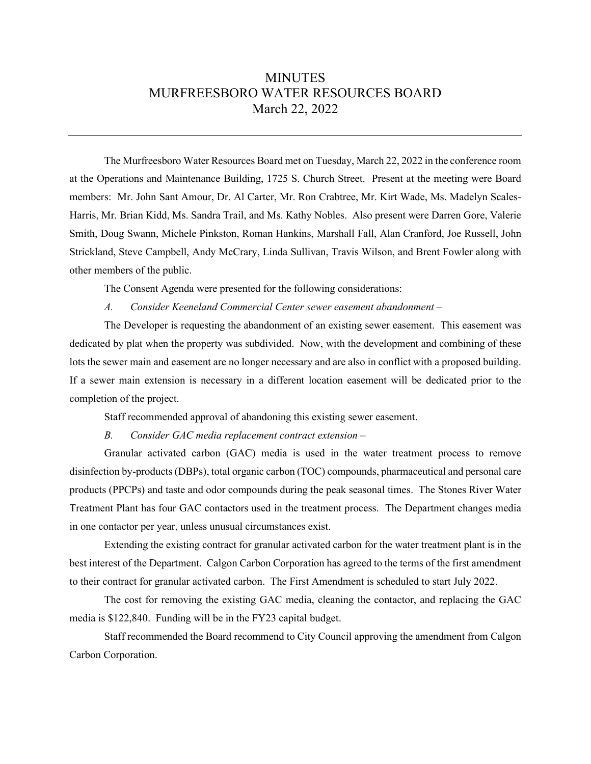## **MINUTES** MURFREESBORO WATER RESOURCES BOARD March 22, 2022

The Murfreesboro Water Resources Board met on Tuesday, March 22, 2022 in the conference room at the Operations and Maintenance Building, 1725 S. Church Street. Present at the meeting were Board members: Mr. John Sant Amour, Dr. Al Carter, Mr. Ron Crabtree, Mr. Kirt Wade, Ms. Madelyn Scales-Harris, Mr. Brian Kidd, Ms. Sandra Trail, and Ms. Kathy Nobles. Also present were Darren Gore, Valerie Smith, Doug Swann, Michele Pinkston, Roman Hankins, Marshall Fall, Alan Cranford, Joe Russell, John Strickland, Steve Campbell, Andy McCrary, Linda Sullivan, Travis Wilson, and Brent Fowler along with other members of the public.

The Consent Agenda were presented for the following considerations:

*A. Consider Keeneland Commercial Center sewer easement abandonment –* 

The Developer is requesting the abandonment of an existing sewer easement. This easement was dedicated by plat when the property was subdivided. Now, with the development and combining of these lots the sewer main and easement are no longer necessary and are also in conflict with a proposed building. If a sewer main extension is necessary in a different location easement will be dedicated prior to the completion of the project.

Staff recommended approval of abandoning this existing sewer easement.

*B. Consider GAC media replacement contract extension –* 

Granular activated carbon (GAC) media is used in the water treatment process to remove disinfection by-products (DBPs), total organic carbon (TOC) compounds, pharmaceutical and personal care products (PPCPs) and taste and odor compounds during the peak seasonal times. The Stones River Water Treatment Plant has four GAC contactors used in the treatment process. The Department changes media in one contactor per year, unless unusual circumstances exist.

Extending the existing contract for granular activated carbon for the water treatment plant is in the best interest of the Department. Calgon Carbon Corporation has agreed to the terms of the first amendment to their contract for granular activated carbon. The First Amendment is scheduled to start July 2022.

The cost for removing the existing GAC media, cleaning the contactor, and replacing the GAC media is \$122,840. Funding will be in the FY23 capital budget.

Staff recommended the Board recommend to City Council approving the amendment from Calgon Carbon Corporation.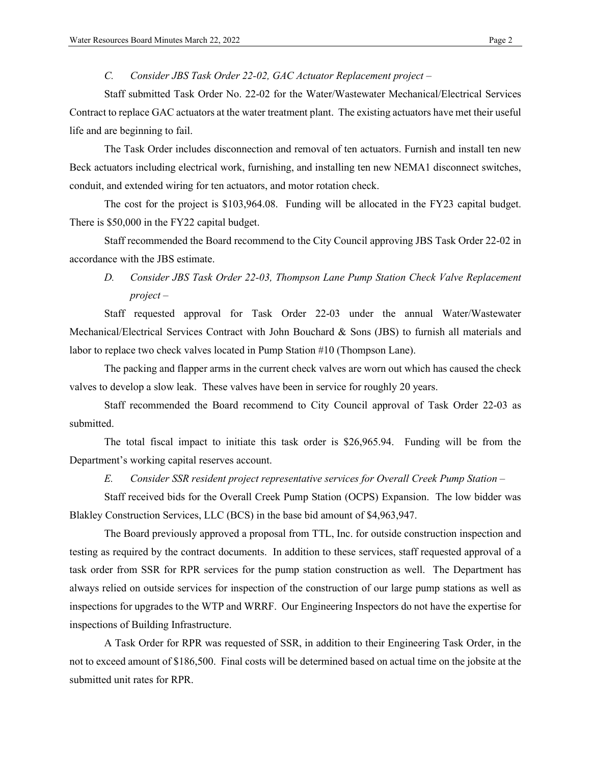*C. Consider JBS Task Order 22-02, GAC Actuator Replacement project –*

Staff submitted Task Order No. 22-02 for the Water/Wastewater Mechanical/Electrical Services Contract to replace GAC actuators at the water treatment plant. The existing actuators have met their useful life and are beginning to fail.

The Task Order includes disconnection and removal of ten actuators. Furnish and install ten new Beck actuators including electrical work, furnishing, and installing ten new NEMA1 disconnect switches, conduit, and extended wiring for ten actuators, and motor rotation check.

The cost for the project is \$103,964.08. Funding will be allocated in the FY23 capital budget. There is \$50,000 in the FY22 capital budget.

Staff recommended the Board recommend to the City Council approving JBS Task Order 22-02 in accordance with the JBS estimate.

## *D. Consider JBS Task Order 22-03, Thompson Lane Pump Station Check Valve Replacement project –*

Staff requested approval for Task Order 22-03 under the annual Water/Wastewater Mechanical/Electrical Services Contract with John Bouchard & Sons (JBS) to furnish all materials and labor to replace two check valves located in Pump Station #10 (Thompson Lane).

The packing and flapper arms in the current check valves are worn out which has caused the check valves to develop a slow leak. These valves have been in service for roughly 20 years.

Staff recommended the Board recommend to City Council approval of Task Order 22-03 as submitted.

The total fiscal impact to initiate this task order is \$26,965.94. Funding will be from the Department's working capital reserves account.

*E. Consider SSR resident project representative services for Overall Creek Pump Station –*

Staff received bids for the Overall Creek Pump Station (OCPS) Expansion. The low bidder was Blakley Construction Services, LLC (BCS) in the base bid amount of \$4,963,947.

The Board previously approved a proposal from TTL, Inc. for outside construction inspection and testing as required by the contract documents. In addition to these services, staff requested approval of a task order from SSR for RPR services for the pump station construction as well. The Department has always relied on outside services for inspection of the construction of our large pump stations as well as inspections for upgrades to the WTP and WRRF. Our Engineering Inspectors do not have the expertise for inspections of Building Infrastructure.

A Task Order for RPR was requested of SSR, in addition to their Engineering Task Order, in the not to exceed amount of \$186,500. Final costs will be determined based on actual time on the jobsite at the submitted unit rates for RPR.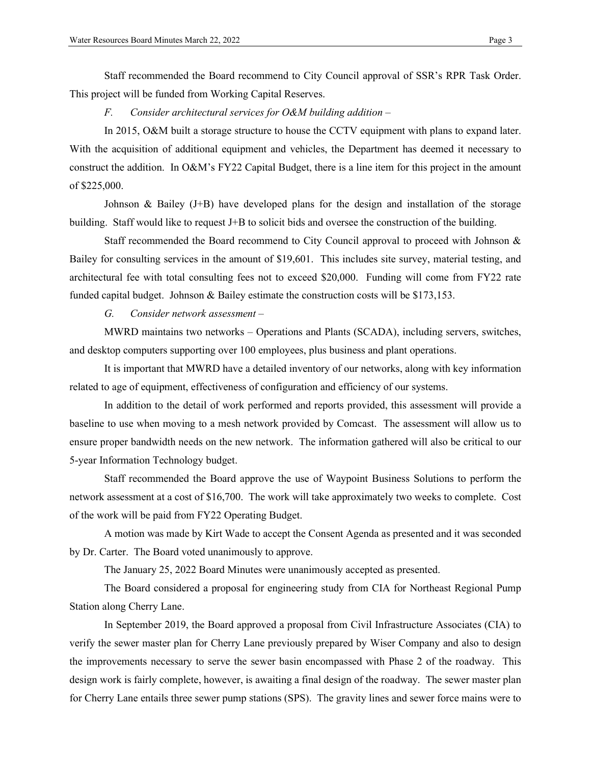Staff recommended the Board recommend to City Council approval of SSR's RPR Task Order. This project will be funded from Working Capital Reserves.

*F. Consider architectural services for O&M building addition –*

In 2015, O&M built a storage structure to house the CCTV equipment with plans to expand later. With the acquisition of additional equipment and vehicles, the Department has deemed it necessary to construct the addition. In O&M's FY22 Capital Budget, there is a line item for this project in the amount of \$225,000.

Johnson & Bailey (J+B) have developed plans for the design and installation of the storage building. Staff would like to request J+B to solicit bids and oversee the construction of the building.

Staff recommended the Board recommend to City Council approval to proceed with Johnson & Bailey for consulting services in the amount of \$19,601. This includes site survey, material testing, and architectural fee with total consulting fees not to exceed \$20,000. Funding will come from FY22 rate funded capital budget. Johnson & Bailey estimate the construction costs will be \$173,153.

*G. Consider network assessment –*

MWRD maintains two networks – Operations and Plants (SCADA), including servers, switches, and desktop computers supporting over 100 employees, plus business and plant operations.

It is important that MWRD have a detailed inventory of our networks, along with key information related to age of equipment, effectiveness of configuration and efficiency of our systems.

In addition to the detail of work performed and reports provided, this assessment will provide a baseline to use when moving to a mesh network provided by Comcast. The assessment will allow us to ensure proper bandwidth needs on the new network. The information gathered will also be critical to our 5-year Information Technology budget.

Staff recommended the Board approve the use of Waypoint Business Solutions to perform the network assessment at a cost of \$16,700. The work will take approximately two weeks to complete. Cost of the work will be paid from FY22 Operating Budget.

A motion was made by Kirt Wade to accept the Consent Agenda as presented and it was seconded by Dr. Carter. The Board voted unanimously to approve.

The January 25, 2022 Board Minutes were unanimously accepted as presented.

The Board considered a proposal for engineering study from CIA for Northeast Regional Pump Station along Cherry Lane.

In September 2019, the Board approved a proposal from Civil Infrastructure Associates (CIA) to verify the sewer master plan for Cherry Lane previously prepared by Wiser Company and also to design the improvements necessary to serve the sewer basin encompassed with Phase 2 of the roadway. This design work is fairly complete, however, is awaiting a final design of the roadway. The sewer master plan for Cherry Lane entails three sewer pump stations (SPS). The gravity lines and sewer force mains were to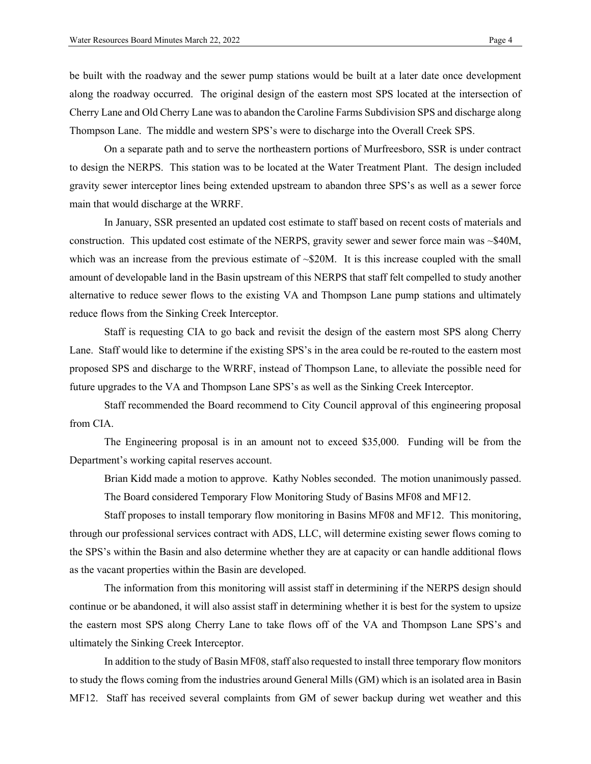be built with the roadway and the sewer pump stations would be built at a later date once development along the roadway occurred. The original design of the eastern most SPS located at the intersection of Cherry Lane and Old Cherry Lane was to abandon the Caroline Farms Subdivision SPS and discharge along Thompson Lane. The middle and western SPS's were to discharge into the Overall Creek SPS.

On a separate path and to serve the northeastern portions of Murfreesboro, SSR is under contract to design the NERPS. This station was to be located at the Water Treatment Plant. The design included gravity sewer interceptor lines being extended upstream to abandon three SPS's as well as a sewer force main that would discharge at the WRRF.

In January, SSR presented an updated cost estimate to staff based on recent costs of materials and construction. This updated cost estimate of the NERPS, gravity sewer and sewer force main was ~\$40M, which was an increase from the previous estimate of  $\sim$ \$20M. It is this increase coupled with the small amount of developable land in the Basin upstream of this NERPS that staff felt compelled to study another alternative to reduce sewer flows to the existing VA and Thompson Lane pump stations and ultimately reduce flows from the Sinking Creek Interceptor.

Staff is requesting CIA to go back and revisit the design of the eastern most SPS along Cherry Lane. Staff would like to determine if the existing SPS's in the area could be re-routed to the eastern most proposed SPS and discharge to the WRRF, instead of Thompson Lane, to alleviate the possible need for future upgrades to the VA and Thompson Lane SPS's as well as the Sinking Creek Interceptor.

Staff recommended the Board recommend to City Council approval of this engineering proposal from CIA.

The Engineering proposal is in an amount not to exceed \$35,000. Funding will be from the Department's working capital reserves account.

Brian Kidd made a motion to approve. Kathy Nobles seconded. The motion unanimously passed.

The Board considered Temporary Flow Monitoring Study of Basins MF08 and MF12.

Staff proposes to install temporary flow monitoring in Basins MF08 and MF12. This monitoring, through our professional services contract with ADS, LLC, will determine existing sewer flows coming to the SPS's within the Basin and also determine whether they are at capacity or can handle additional flows as the vacant properties within the Basin are developed.

The information from this monitoring will assist staff in determining if the NERPS design should continue or be abandoned, it will also assist staff in determining whether it is best for the system to upsize the eastern most SPS along Cherry Lane to take flows off of the VA and Thompson Lane SPS's and ultimately the Sinking Creek Interceptor.

In addition to the study of Basin MF08, staff also requested to install three temporary flow monitors to study the flows coming from the industries around General Mills (GM) which is an isolated area in Basin MF12. Staff has received several complaints from GM of sewer backup during wet weather and this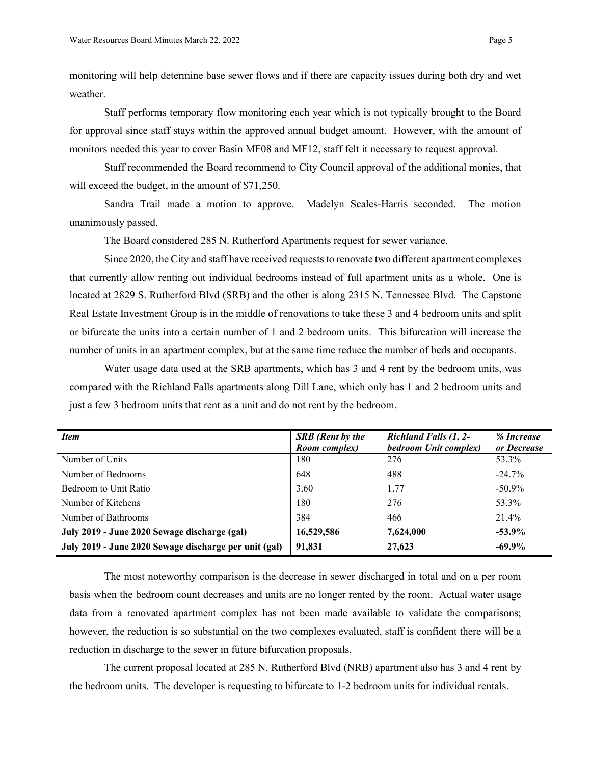monitoring will help determine base sewer flows and if there are capacity issues during both dry and wet weather.

Staff performs temporary flow monitoring each year which is not typically brought to the Board for approval since staff stays within the approved annual budget amount. However, with the amount of monitors needed this year to cover Basin MF08 and MF12, staff felt it necessary to request approval.

Staff recommended the Board recommend to City Council approval of the additional monies, that will exceed the budget, in the amount of \$71,250.

Sandra Trail made a motion to approve. Madelyn Scales-Harris seconded. The motion unanimously passed.

The Board considered 285 N. Rutherford Apartments request for sewer variance.

Since 2020, the City and staff have received requests to renovate two different apartment complexes that currently allow renting out individual bedrooms instead of full apartment units as a whole. One is located at 2829 S. Rutherford Blvd (SRB) and the other is along 2315 N. Tennessee Blvd. The Capstone Real Estate Investment Group is in the middle of renovations to take these 3 and 4 bedroom units and split or bifurcate the units into a certain number of 1 and 2 bedroom units. This bifurcation will increase the number of units in an apartment complex, but at the same time reduce the number of beds and occupants.

Water usage data used at the SRB apartments, which has 3 and 4 rent by the bedroom units, was compared with the Richland Falls apartments along Dill Lane, which only has 1 and 2 bedroom units and just a few 3 bedroom units that rent as a unit and do not rent by the bedroom.

| <i>Item</i>                                           | <b>SRB</b> (Rent by the | Richland Falls (1, 2- | % Increase  |
|-------------------------------------------------------|-------------------------|-----------------------|-------------|
|                                                       | Room complex)           | bedroom Unit complex) | or Decrease |
| Number of Units                                       | 180                     | 276                   | 53.3%       |
| Number of Bedrooms                                    | 648                     | 488                   | $-24.7\%$   |
| Bedroom to Unit Ratio                                 | 3.60                    | 1.77                  | $-50.9\%$   |
| Number of Kitchens                                    | 180                     | 276                   | 53.3%       |
| Number of Bathrooms                                   | 384                     | 466                   | 21.4%       |
| July 2019 - June 2020 Sewage discharge (gal)          | 16,529,586              | 7,624,000             | $-53.9%$    |
| July 2019 - June 2020 Sewage discharge per unit (gal) | 91,831                  | 27,623                | $-69.9\%$   |

The most noteworthy comparison is the decrease in sewer discharged in total and on a per room basis when the bedroom count decreases and units are no longer rented by the room. Actual water usage data from a renovated apartment complex has not been made available to validate the comparisons; however, the reduction is so substantial on the two complexes evaluated, staff is confident there will be a reduction in discharge to the sewer in future bifurcation proposals.

The current proposal located at 285 N. Rutherford Blvd (NRB) apartment also has 3 and 4 rent by the bedroom units. The developer is requesting to bifurcate to 1-2 bedroom units for individual rentals.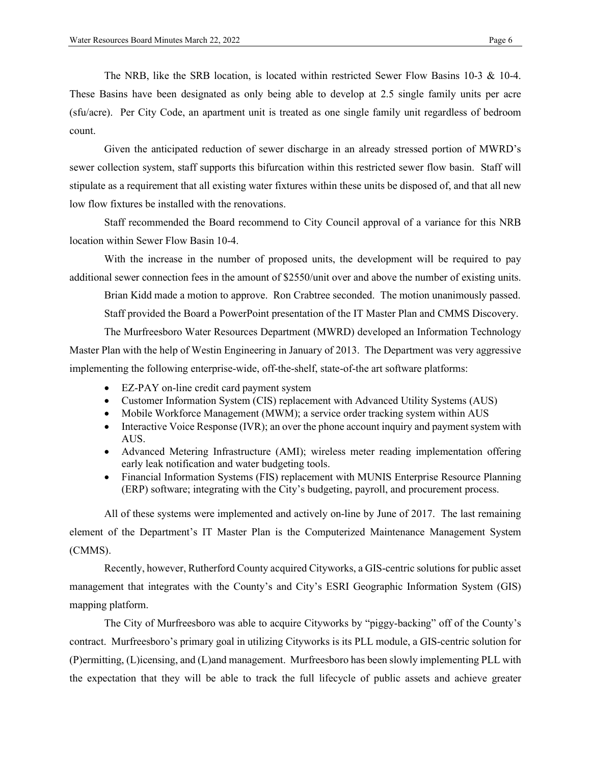The NRB, like the SRB location, is located within restricted Sewer Flow Basins 10-3 & 10-4. These Basins have been designated as only being able to develop at 2.5 single family units per acre (sfu/acre). Per City Code, an apartment unit is treated as one single family unit regardless of bedroom count.

Given the anticipated reduction of sewer discharge in an already stressed portion of MWRD's sewer collection system, staff supports this bifurcation within this restricted sewer flow basin. Staff will stipulate as a requirement that all existing water fixtures within these units be disposed of, and that all new low flow fixtures be installed with the renovations.

Staff recommended the Board recommend to City Council approval of a variance for this NRB location within Sewer Flow Basin 10-4.

With the increase in the number of proposed units, the development will be required to pay additional sewer connection fees in the amount of \$2550/unit over and above the number of existing units.

Brian Kidd made a motion to approve. Ron Crabtree seconded. The motion unanimously passed. Staff provided the Board a PowerPoint presentation of the IT Master Plan and CMMS Discovery.

The Murfreesboro Water Resources Department (MWRD) developed an Information Technology Master Plan with the help of Westin Engineering in January of 2013. The Department was very aggressive implementing the following enterprise-wide, off-the-shelf, state-of-the art software platforms:

- EZ-PAY on-line credit card payment system
- Customer Information System (CIS) replacement with Advanced Utility Systems (AUS)
- Mobile Workforce Management (MWM); a service order tracking system within AUS
- Interactive Voice Response (IVR); an over the phone account inquiry and payment system with AUS.
- Advanced Metering Infrastructure (AMI); wireless meter reading implementation offering early leak notification and water budgeting tools.
- Financial Information Systems (FIS) replacement with MUNIS Enterprise Resource Planning (ERP) software; integrating with the City's budgeting, payroll, and procurement process.

All of these systems were implemented and actively on-line by June of 2017. The last remaining element of the Department's IT Master Plan is the Computerized Maintenance Management System (CMMS).

Recently, however, Rutherford County acquired Cityworks, a GIS-centric solutions for public asset management that integrates with the County's and City's ESRI Geographic Information System (GIS) mapping platform.

The City of Murfreesboro was able to acquire Cityworks by "piggy-backing" off of the County's contract. Murfreesboro's primary goal in utilizing Cityworks is its PLL module, a GIS-centric solution for (P)ermitting, (L)icensing, and (L)and management. Murfreesboro has been slowly implementing PLL with the expectation that they will be able to track the full lifecycle of public assets and achieve greater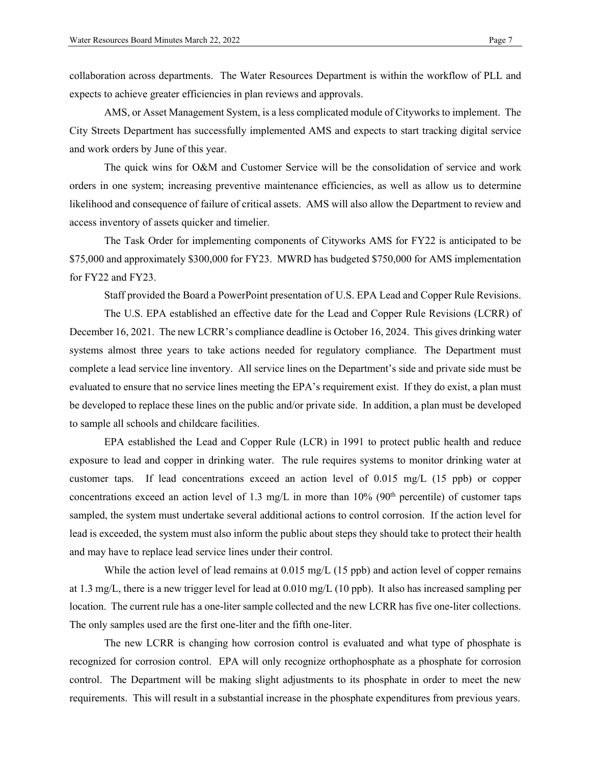collaboration across departments. The Water Resources Department is within the workflow of PLL and expects to achieve greater efficiencies in plan reviews and approvals.

AMS, or Asset Management System, is a less complicated module of Cityworks to implement. The City Streets Department has successfully implemented AMS and expects to start tracking digital service and work orders by June of this year.

The quick wins for O&M and Customer Service will be the consolidation of service and work orders in one system; increasing preventive maintenance efficiencies, as well as allow us to determine likelihood and consequence of failure of critical assets. AMS will also allow the Department to review and access inventory of assets quicker and timelier.

The Task Order for implementing components of Cityworks AMS for FY22 is anticipated to be \$75,000 and approximately \$300,000 for FY23. MWRD has budgeted \$750,000 for AMS implementation for FY22 and FY23.

Staff provided the Board a PowerPoint presentation of U.S. EPA Lead and Copper Rule Revisions.

The U.S. EPA established an effective date for the Lead and Copper Rule Revisions (LCRR) of December 16, 2021. The new LCRR's compliance deadline is October 16, 2024. This gives drinking water systems almost three years to take actions needed for regulatory compliance. The Department must complete a lead service line inventory. All service lines on the Department's side and private side must be evaluated to ensure that no service lines meeting the EPA's requirement exist. If they do exist, a plan must be developed to replace these lines on the public and/or private side. In addition, a plan must be developed to sample all schools and childcare facilities.

EPA established the Lead and Copper Rule (LCR) in 1991 to protect public health and reduce exposure to lead and copper in drinking water. The rule requires systems to monitor drinking water at customer taps. If lead concentrations exceed an action level of 0.015 mg/L (15 ppb) or copper concentrations exceed an action level of 1.3 mg/L in more than  $10\%$  (90<sup>th</sup> percentile) of customer taps sampled, the system must undertake several additional actions to control corrosion. If the action level for lead is exceeded, the system must also inform the public about steps they should take to protect their health and may have to replace lead service lines under their control.

While the action level of lead remains at  $0.015 \text{ mg/L}$  (15 ppb) and action level of copper remains at 1.3 mg/L, there is a new trigger level for lead at 0.010 mg/L (10 ppb). It also has increased sampling per location. The current rule has a one-liter sample collected and the new LCRR has five one-liter collections. The only samples used are the first one-liter and the fifth one-liter.

The new LCRR is changing how corrosion control is evaluated and what type of phosphate is recognized for corrosion control. EPA will only recognize orthophosphate as a phosphate for corrosion control. The Department will be making slight adjustments to its phosphate in order to meet the new requirements. This will result in a substantial increase in the phosphate expenditures from previous years.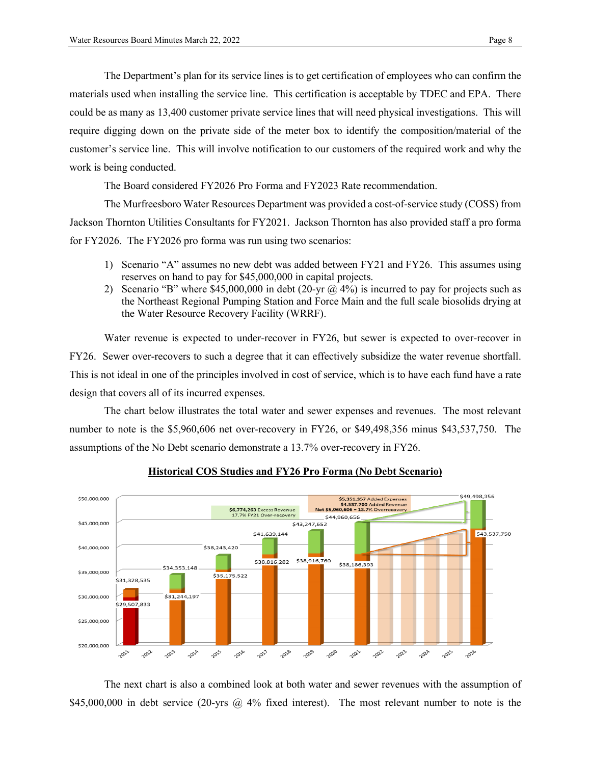The Department's plan for its service lines is to get certification of employees who can confirm the materials used when installing the service line. This certification is acceptable by TDEC and EPA. There could be as many as 13,400 customer private service lines that will need physical investigations. This will require digging down on the private side of the meter box to identify the composition/material of the customer's service line. This will involve notification to our customers of the required work and why the work is being conducted.

The Board considered FY2026 Pro Forma and FY2023 Rate recommendation.

The Murfreesboro Water Resources Department was provided a cost-of-service study (COSS) from Jackson Thornton Utilities Consultants for FY2021. Jackson Thornton has also provided staff a pro forma for FY2026. The FY2026 pro forma was run using two scenarios:

- 1) Scenario "A" assumes no new debt was added between FY21 and FY26. This assumes using reserves on hand to pay for \$45,000,000 in capital projects.
- 2) Scenario "B" where \$45,000,000 in debt (20-yr  $\omega$  4%) is incurred to pay for projects such as the Northeast Regional Pumping Station and Force Main and the full scale biosolids drying at the Water Resource Recovery Facility (WRRF).

Water revenue is expected to under-recover in FY26, but sewer is expected to over-recover in FY26. Sewer over-recovers to such a degree that it can effectively subsidize the water revenue shortfall. This is not ideal in one of the principles involved in cost of service, which is to have each fund have a rate design that covers all of its incurred expenses.

The chart below illustrates the total water and sewer expenses and revenues. The most relevant number to note is the \$5,960,606 net over-recovery in FY26, or \$49,498,356 minus \$43,537,750. The assumptions of the No Debt scenario demonstrate a 13.7% over-recovery in FY26.



## **Historical COS Studies and FY26 Pro Forma (No Debt Scenario)**

The next chart is also a combined look at both water and sewer revenues with the assumption of \$45,000,000 in debt service (20-yrs @ 4% fixed interest). The most relevant number to note is the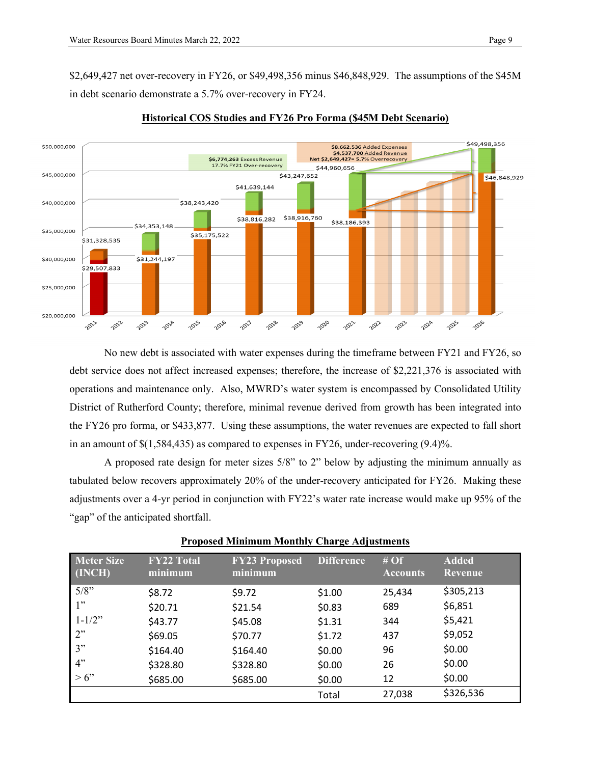\$2,649,427 net over-recovery in FY26, or \$49,498,356 minus \$46,848,929. The assumptions of the \$45M in debt scenario demonstrate a 5.7% over-recovery in FY24.



## **Historical COS Studies and FY26 Pro Forma (\$45M Debt Scenario)**

No new debt is associated with water expenses during the timeframe between FY21 and FY26, so debt service does not affect increased expenses; therefore, the increase of \$2,221,376 is associated with operations and maintenance only. Also, MWRD's water system is encompassed by Consolidated Utility District of Rutherford County; therefore, minimal revenue derived from growth has been integrated into the FY26 pro forma, or \$433,877. Using these assumptions, the water revenues are expected to fall short in an amount of \$(1,584,435) as compared to expenses in FY26, under-recovering (9.4)%.

A proposed rate design for meter sizes 5/8" to 2" below by adjusting the minimum annually as tabulated below recovers approximately 20% of the under-recovery anticipated for FY26. Making these adjustments over a 4-yr period in conjunction with FY22's water rate increase would make up 95% of the "gap" of the anticipated shortfall.

| Meter Size<br>$\overline{\phantom{a}}$ (INCH) <sup>{</sup> | <b>FY22 Total</b><br>minimum | <b>FY23 Proposed</b><br><u>minimum</u> | <b>Difference</b> | #Of<br><b>Accounts</b> | <b>Added</b><br><b>Revenue</b> |
|------------------------------------------------------------|------------------------------|----------------------------------------|-------------------|------------------------|--------------------------------|
| $5/8$ "                                                    | \$8.72                       | \$9.72                                 | \$1.00            | 25,434                 | \$305,213                      |
| 1"                                                         | \$20.71                      | \$21.54                                | \$0.83            | 689                    | \$6,851                        |
| $1 - 1/2$ "                                                | \$43.77                      | \$45.08                                | \$1.31            | 344                    | \$5,421                        |
| 2"                                                         | \$69.05                      | \$70.77                                | \$1.72            | 437                    | \$9,052                        |
| 3"                                                         | \$164.40                     | \$164.40                               | \$0.00            | 96                     | \$0.00                         |
| 4"                                                         | \$328.80                     | \$328.80                               | \$0.00            | 26                     | \$0.00                         |
| $> 6$ "                                                    | \$685.00                     | \$685.00                               | \$0.00            | 12                     | \$0.00                         |
|                                                            |                              |                                        | Total             | 27,038                 | \$326,536                      |

|--|